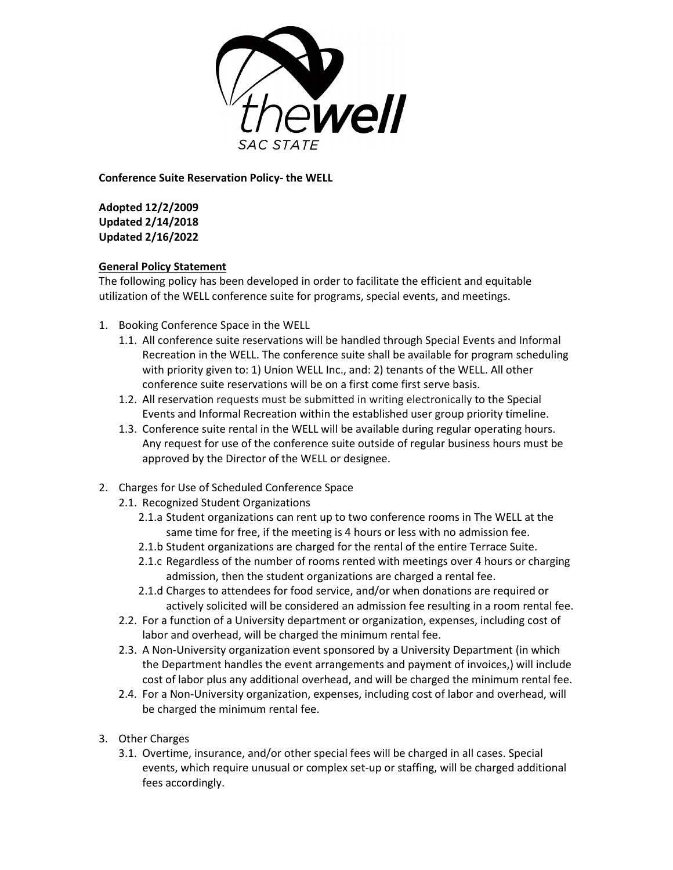

**Conference Suite Reservation Policy- the WELL**

**Adopted 12/2/2009 Updated 2/14/2018 Updated 2/16/2022**

## **General Policy Statement**

The following policy has been developed in order to facilitate the efficient and equitable utilization of the WELL conference suite for programs, special events, and meetings.

- 1. Booking Conference Space in the WELL
	- 1.1. All conference suite reservations will be handled through Special Events and Informal Recreation in the WELL. The conference suite shall be available for program scheduling with priority given to: 1) Union WELL Inc., and: 2) tenants of the WELL. All other conference suite reservations will be on a first come first serve basis.
	- 1.2. All reservation requests must be submitted in writing electronically to the Special Events and Informal Recreation within the established user group priority timeline.
	- 1.3. Conference suite rental in the WELL will be available during regular operating hours. Any request for use of the conference suite outside of regular business hours must be approved by the Director of the WELL or designee.
- 2. Charges for Use of Scheduled Conference Space
	- 2.1. Recognized Student Organizations
		- 2.1.a Student organizations can rent up to two conference rooms in The WELL at the same time for free, if the meeting is 4 hours or less with no admission fee.
		- 2.1.b Student organizations are charged for the rental of the entire Terrace Suite.
		- 2.1.c Regardless of the number of rooms rented with meetings over 4 hours or charging admission, then the student organizations are charged a rental fee.
		- 2.1.d Charges to attendees for food service, and/or when donations are required or actively solicited will be considered an admission fee resulting in a room rental fee.
	- 2.2. For a function of a University department or organization, expenses, including cost of labor and overhead, will be charged the minimum rental fee.
	- 2.3. A Non-University organization event sponsored by a University Department (in which the Department handles the event arrangements and payment of invoices,) will include cost of labor plus any additional overhead, and will be charged the minimum rental fee.
	- 2.4. For a Non-University organization, expenses, including cost of labor and overhead, will be charged the minimum rental fee.
- 3. Other Charges
	- 3.1. Overtime, insurance, and/or other special fees will be charged in all cases. Special events, which require unusual or complex set-up or staffing, will be charged additional fees accordingly.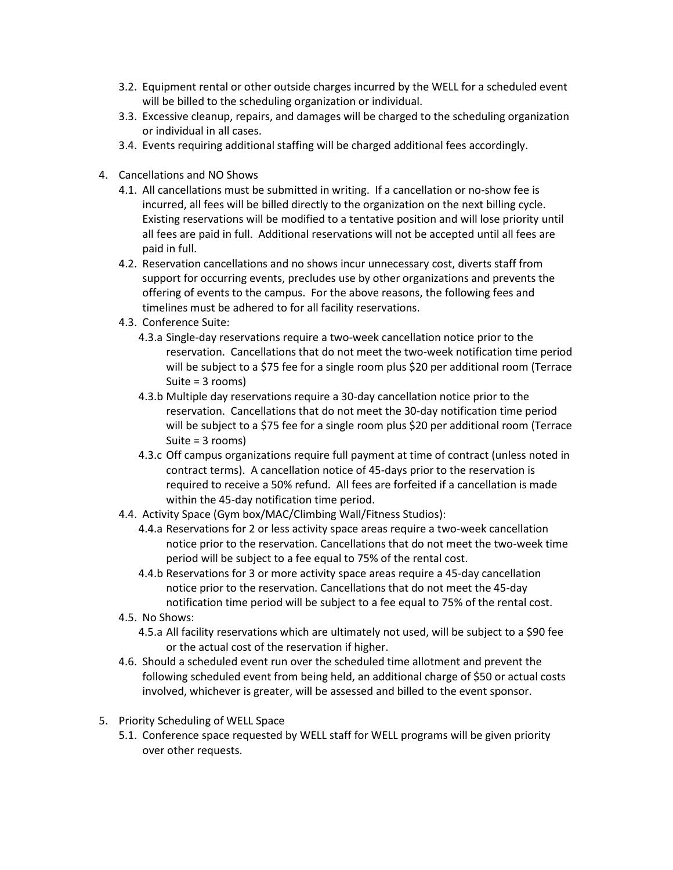- 3.2. Equipment rental or other outside charges incurred by the WELL for a scheduled event will be billed to the scheduling organization or individual.
- 3.3. Excessive cleanup, repairs, and damages will be charged to the scheduling organization or individual in all cases.
- 3.4. Events requiring additional staffing will be charged additional fees accordingly.
- 4. Cancellations and NO Shows
	- 4.1. All cancellations must be submitted in writing. If a cancellation or no-show fee is incurred, all fees will be billed directly to the organization on the next billing cycle. Existing reservations will be modified to a tentative position and will lose priority until all fees are paid in full. Additional reservations will not be accepted until all fees are paid in full.
	- 4.2. Reservation cancellations and no shows incur unnecessary cost, diverts staff from support for occurring events, precludes use by other organizations and prevents the offering of events to the campus. For the above reasons, the following fees and timelines must be adhered to for all facility reservations.
	- 4.3. Conference Suite:
		- 4.3.a Single-day reservations require a two-week cancellation notice prior to the reservation. Cancellations that do not meet the two-week notification time period will be subject to a \$75 fee for a single room plus \$20 per additional room (Terrace Suite = 3 rooms)
		- 4.3.b Multiple day reservations require a 30-day cancellation notice prior to the reservation. Cancellations that do not meet the 30-day notification time period will be subject to a \$75 fee for a single room plus \$20 per additional room (Terrace Suite = 3 rooms)
		- 4.3.c Off campus organizations require full payment at time of contract (unless noted in contract terms). A cancellation notice of 45-days prior to the reservation is required to receive a 50% refund. All fees are forfeited if a cancellation is made within the 45-day notification time period.
	- 4.4. Activity Space (Gym box/MAC/Climbing Wall/Fitness Studios):
		- 4.4.a Reservations for 2 or less activity space areas require a two-week cancellation notice prior to the reservation. Cancellations that do not meet the two-week time period will be subject to a fee equal to 75% of the rental cost.
		- 4.4.b Reservations for 3 or more activity space areas require a 45-day cancellation notice prior to the reservation. Cancellations that do not meet the 45-day notification time period will be subject to a fee equal to 75% of the rental cost.
	- 4.5. No Shows:
		- 4.5.a All facility reservations which are ultimately not used, will be subject to a \$90 fee or the actual cost of the reservation if higher.
	- 4.6. Should a scheduled event run over the scheduled time allotment and prevent the following scheduled event from being held, an additional charge of \$50 or actual costs involved, whichever is greater, will be assessed and billed to the event sponsor.
- 5. Priority Scheduling of WELL Space
	- 5.1. Conference space requested by WELL staff for WELL programs will be given priority over other requests.